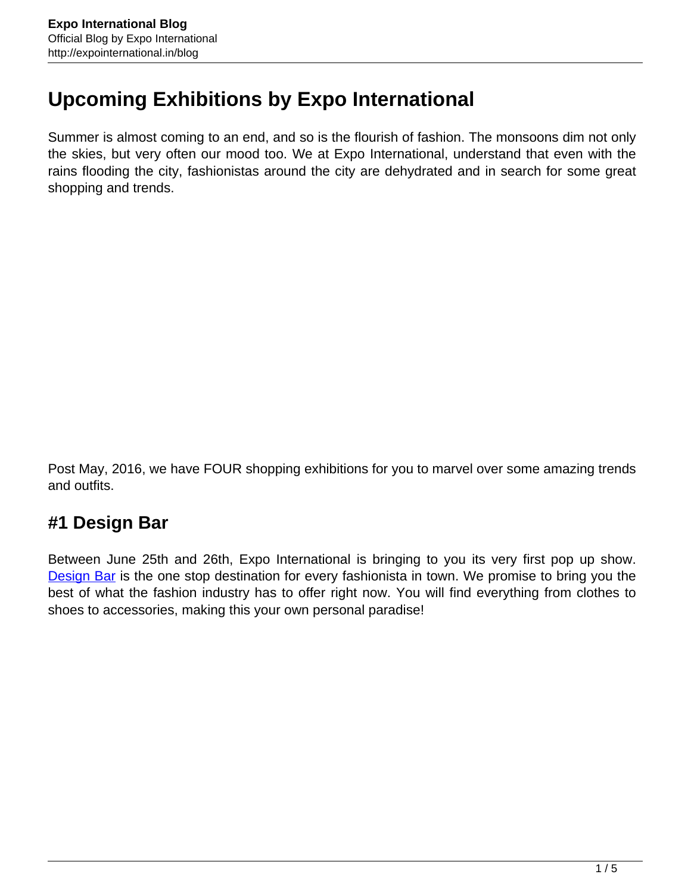## **Upcoming Exhibitions by Expo International**

Summer is almost coming to an end, and so is the flourish of fashion. The monsoons dim not only the skies, but very often our mood too. We at Expo International, understand that even with the rains flooding the city, fashionistas around the city are dehydrated and in search for some great shopping and trends.

Post May, 2016, we have FOUR shopping exhibitions for you to marvel over some amazing trends and outfits.

## **#1 Design Bar**

Between June 25th and 26th, Expo International is bringing to you its very first pop up show. **Design Bar** is the one stop destination for every fashionista in town. We promise to bring you the best of what the fashion industry has to offer right now. You will find everything from clothes to shoes to accessories, making this your own personal paradise!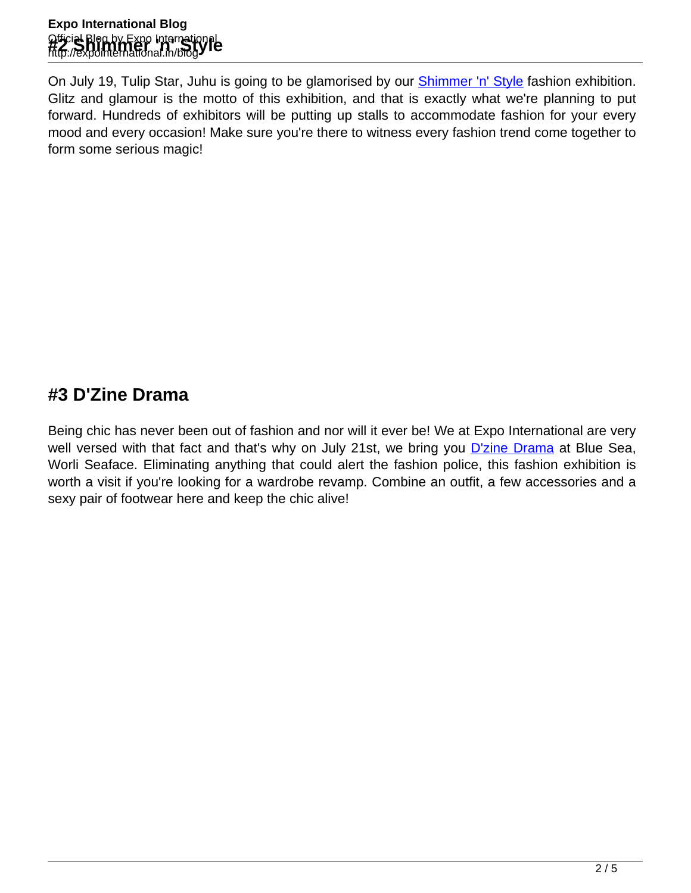On July 19, Tulip Star, Juhu is going to be glamorised by our **Shimmer 'n' Style** fashion exhibition. Glitz and glamour is the motto of this exhibition, and that is exactly what we're planning to put forward. Hundreds of exhibitors will be putting up stalls to accommodate fashion for your every mood and every occasion! Make sure you're there to witness every fashion trend come together to form some serious magic!

## **#3 D'Zine Drama**

Being chic has never been out of fashion and nor will it ever be! We at Expo International are very well versed with that fact and that's why on July 21st, we bring you [D'zine Drama](https://www.facebook.com/events/1706234866303083/) at Blue Sea, Worli Seaface. Eliminating anything that could alert the fashion police, this fashion exhibition is worth a visit if you're looking for a wardrobe revamp. Combine an outfit, a few accessories and a sexy pair of footwear here and keep the chic alive!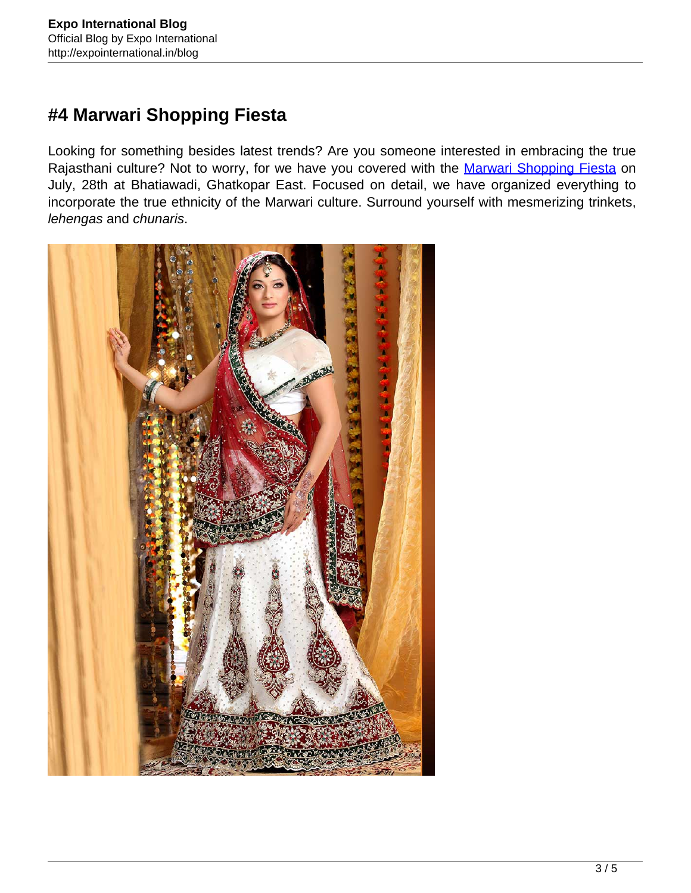## **#4 Marwari Shopping Fiesta**

Looking for something besides latest trends? Are you someone interested in embracing the true Rajasthani culture? Not to worry, for we have you covered with the [Marwari Shopping Fiesta](https://www.facebook.com/events/164960070573750/) on July, 28th at Bhatiawadi, Ghatkopar East. Focused on detail, we have organized everything to incorporate the true ethnicity of the Marwari culture. Surround yourself with mesmerizing trinkets, lehengas and chunaris.

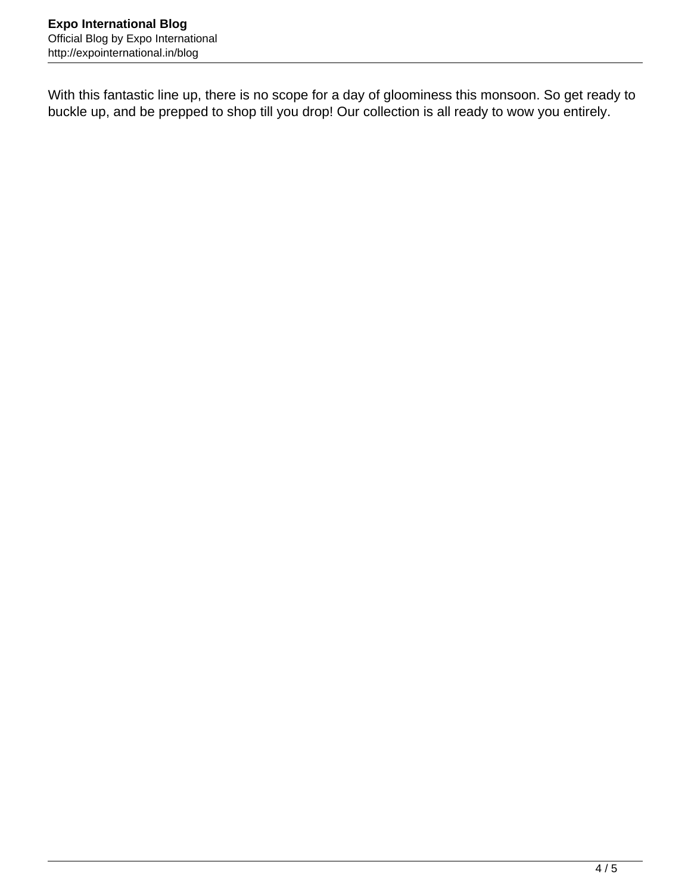With this fantastic line up, there is no scope for a day of gloominess this monsoon. So get ready to buckle up, and be prepped to shop till you drop! Our collection is all ready to wow you entirely.